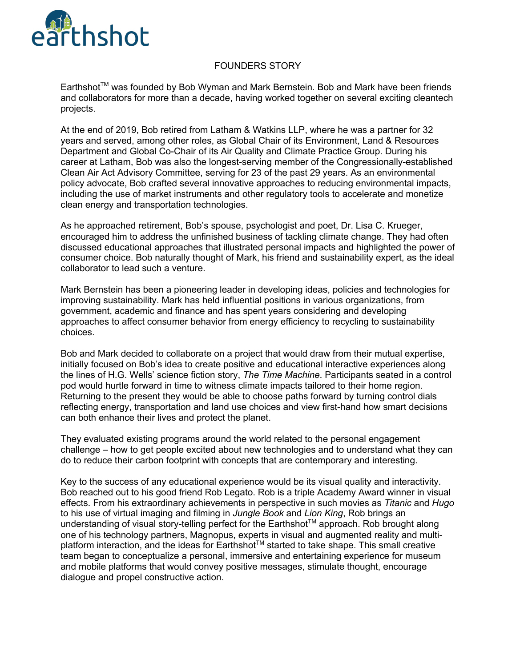

## FOUNDERS STORY

Earthshot™ was founded by Bob Wyman and Mark Bernstein. Bob and Mark have been friends and collaborators for more than a decade, having worked together on several exciting cleantech projects.

At the end of 2019, Bob retired from Latham & Watkins LLP, where he was a partner for 32 years and served, among other roles, as Global Chair of its Environment, Land & Resources Department and Global Co-Chair of its Air Quality and Climate Practice Group. During his career at Latham, Bob was also the longest-serving member of the Congressionally-established Clean Air Act Advisory Committee, serving for 23 of the past 29 years. As an environmental policy advocate, Bob crafted several innovative approaches to reducing environmental impacts, including the use of market instruments and other regulatory tools to accelerate and monetize clean energy and transportation technologies.

As he approached retirement, Bob's spouse, psychologist and poet, Dr. Lisa C. Krueger, encouraged him to address the unfinished business of tackling climate change. They had often discussed educational approaches that illustrated personal impacts and highlighted the power of consumer choice. Bob naturally thought of Mark, his friend and sustainability expert, as the ideal collaborator to lead such a venture.

Mark Bernstein has been a pioneering leader in developing ideas, policies and technologies for improving sustainability. Mark has held influential positions in various organizations, from government, academic and finance and has spent years considering and developing approaches to affect consumer behavior from energy efficiency to recycling to sustainability choices.

Bob and Mark decided to collaborate on a project that would draw from their mutual expertise, initially focused on Bob's idea to create positive and educational interactive experiences along the lines of H.G. Wells' science fiction story, *The Time Machine*. Participants seated in a control pod would hurtle forward in time to witness climate impacts tailored to their home region. Returning to the present they would be able to choose paths forward by turning control dials reflecting energy, transportation and land use choices and view first-hand how smart decisions can both enhance their lives and protect the planet.

They evaluated existing programs around the world related to the personal engagement challenge – how to get people excited about new technologies and to understand what they can do to reduce their carbon footprint with concepts that are contemporary and interesting.

Key to the success of any educational experience would be its visual quality and interactivity. Bob reached out to his good friend Rob Legato. Rob is a triple Academy Award winner in visual effects. From his extraordinary achievements in perspective in such movies as *Titanic* and *Hugo* to his use of virtual imaging and filming in *Jungle Book* and *Lion King*, Rob brings an understanding of visual story-telling perfect for the Earthshot™ approach. Rob brought along one of his technology partners, Magnopus, experts in visual and augmented reality and multiplatform interaction, and the ideas for Earthshot™ started to take shape. This small creative team began to conceptualize a personal, immersive and entertaining experience for museum and mobile platforms that would convey positive messages, stimulate thought, encourage dialogue and propel constructive action.